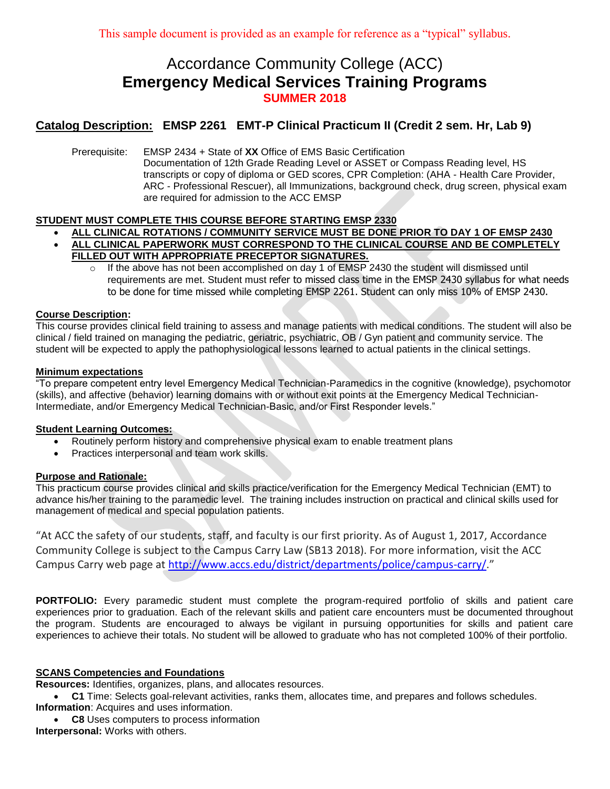# Accordance Community College (ACC) **Emergency Medical Services Training Programs SUMMER 2018**

## **Catalog Description: EMSP 2261 EMT-P Clinical Practicum II (Credit 2 sem. Hr, Lab 9)**

Prerequisite: EMSP 2434 + State of **XX** Office of EMS Basic Certification Documentation of 12th Grade Reading Level or ASSET or Compass Reading level, HS transcripts or copy of diploma or GED scores, CPR Completion: (AHA - Health Care Provider, ARC - Professional Rescuer), all Immunizations, background check, drug screen, physical exam are required for admission to the ACC EMSP

## **STUDENT MUST COMPLETE THIS COURSE BEFORE STARTING EMSP 2330**

- **ALL CLINICAL ROTATIONS / COMMUNITY SERVICE MUST BE DONE PRIOR TO DAY 1 OF EMSP 2430 ALL CLINICAL PAPERWORK MUST CORRESPOND TO THE CLINICAL COURSE AND BE COMPLETELY**
- **FILLED OUT WITH APPROPRIATE PRECEPTOR SIGNATURES.** If the above has not been accomplished on day 1 of EMSP 2430 the student will dismissed until
	- requirements are met. Student must refer to missed class time in the EMSP 2430 syllabus for what needs to be done for time missed while completing EMSP 2261. Student can only miss 10% of EMSP 2430.

## **Course Description:**

This course provides clinical field training to assess and manage patients with medical conditions. The student will also be clinical / field trained on managing the pediatric, geriatric, psychiatric, OB / Gyn patient and community service. The student will be expected to apply the pathophysiological lessons learned to actual patients in the clinical settings.

#### **Minimum expectations**

"To prepare competent entry level Emergency Medical Technician-Paramedics in the cognitive (knowledge), psychomotor (skills), and affective (behavior) learning domains with or without exit points at the Emergency Medical Technician-Intermediate, and/or Emergency Medical Technician-Basic, and/or First Responder levels."

## **Student Learning Outcomes:**

- Routinely perform history and comprehensive physical exam to enable treatment plans
- Practices interpersonal and team work skills.

## **Purpose and Rationale:**

This practicum course provides clinical and skills practice/verification for the Emergency Medical Technician (EMT) to advance his/her training to the paramedic level. The training includes instruction on practical and clinical skills used for management of medical and special population patients.

"At ACC the safety of our students, staff, and faculty is our first priority. As of August 1, 2017, Accordance Community College is subject to the Campus Carry Law (SB13 2018). For more information, visit the ACC Campus Carry web page at [http://www.accs.edu/district/departments/police/campus-carry/](http://www.coaemsp.org/)."

**PORTFOLIO:** Every paramedic student must complete the program-required portfolio of skills and patient care experiences prior to graduation. Each of the relevant skills and patient care encounters must be documented throughout the program. Students are encouraged to always be vigilant in pursuing opportunities for skills and patient care experiences to achieve their totals. No student will be allowed to graduate who has not completed 100% of their portfolio.

## **SCANS Competencies and Foundations**

**Resources:** Identifies, organizes, plans, and allocates resources.

- **C1** Time: Selects goal-relevant activities, ranks them, allocates time, and prepares and follows schedules. **Information**: Acquires and uses information.
- **C8** Uses computers to process information **Interpersonal:** Works with others.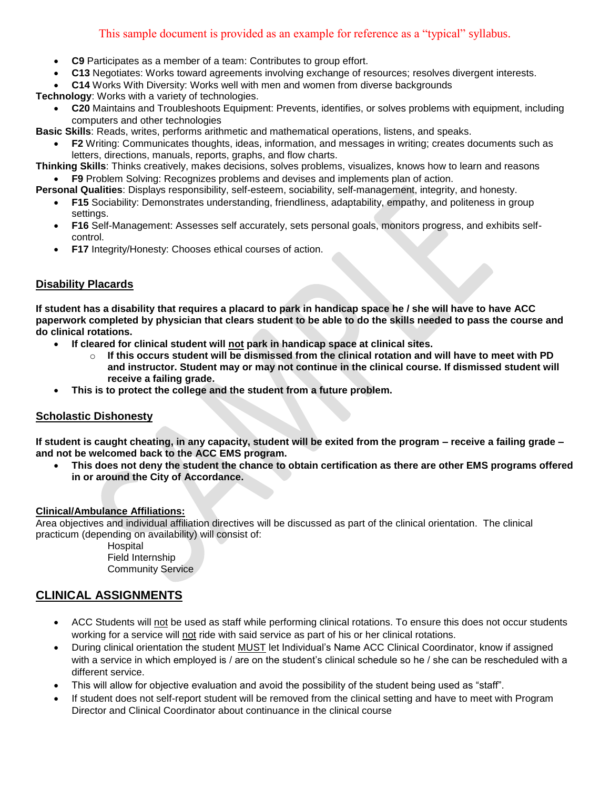## This sample document is provided as an example for reference as a "typical" syllabus.

- **C9** Participates as a member of a team: Contributes to group effort.
- **C13** Negotiates: Works toward agreements involving exchange of resources; resolves divergent interests.
- **C14** Works With Diversity: Works well with men and women from diverse backgrounds

**Technology**: Works with a variety of technologies.

 **C20** Maintains and Troubleshoots Equipment: Prevents, identifies, or solves problems with equipment, including computers and other technologies

**Basic Skills**: Reads, writes, performs arithmetic and mathematical operations, listens, and speaks.

 **F2** Writing: Communicates thoughts, ideas, information, and messages in writing; creates documents such as letters, directions, manuals, reports, graphs, and flow charts.

**Thinking Skills**: Thinks creatively, makes decisions, solves problems, visualizes, knows how to learn and reasons **F9** Problem Solving: Recognizes problems and devises and implements plan of action.

**Personal Qualities**: Displays responsibility, self-esteem, sociability, self-management, integrity, and honesty.

- **F15** Sociability: Demonstrates understanding, friendliness, adaptability, empathy, and politeness in group settings.
- **F16** Self-Management: Assesses self accurately, sets personal goals, monitors progress, and exhibits selfcontrol.
- **F17** Integrity/Honesty: Chooses ethical courses of action.

## **Disability Placards**

**If student has a disability that requires a placard to park in handicap space he / she will have to have ACC paperwork completed by physician that clears student to be able to do the skills needed to pass the course and do clinical rotations.** 

- **If cleared for clinical student will not park in handicap space at clinical sites.** 
	- o **If this occurs student will be dismissed from the clinical rotation and will have to meet with PD and instructor. Student may or may not continue in the clinical course. If dismissed student will receive a failing grade.**
- **This is to protect the college and the student from a future problem.**

## **Scholastic Dishonesty**

**If student is caught cheating, in any capacity, student will be exited from the program – receive a failing grade – and not be welcomed back to the ACC EMS program.**

 **This does not deny the student the chance to obtain certification as there are other EMS programs offered in or around the City of Accordance.**

## **Clinical/Ambulance Affiliations:**

Area objectives and individual affiliation directives will be discussed as part of the clinical orientation. The clinical practicum (depending on availability) will consist of:

Hospital Field Internship Community Service

## **CLINICAL ASSIGNMENTS**

- ACC Students will not be used as staff while performing clinical rotations. To ensure this does not occur students working for a service will not ride with said service as part of his or her clinical rotations.
- During clinical orientation the student MUST let Individual's Name ACC Clinical Coordinator, know if assigned with a service in which employed is / are on the student's clinical schedule so he / she can be rescheduled with a different service.
- This will allow for objective evaluation and avoid the possibility of the student being used as "staff".
- If student does not self-report student will be removed from the clinical setting and have to meet with Program Director and Clinical Coordinator about continuance in the clinical course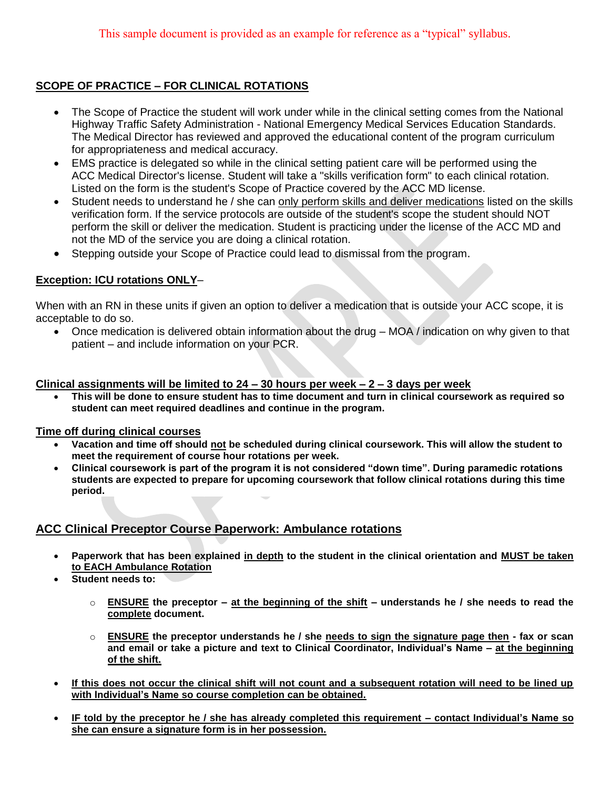## **SCOPE OF PRACTICE – FOR CLINICAL ROTATIONS**

- The Scope of Practice the student will work under while in the clinical setting comes from the National Highway Traffic Safety Administration - National Emergency Medical Services Education Standards. The Medical Director has reviewed and approved the educational content of the program curriculum for appropriateness and medical accuracy.
- EMS practice is delegated so while in the clinical setting patient care will be performed using the ACC Medical Director's license. Student will take a "skills verification form" to each clinical rotation. Listed on the form is the student's Scope of Practice covered by the ACC MD license.
- Student needs to understand he / she can only perform skills and deliver medications listed on the skills verification form. If the service protocols are outside of the student's scope the student should NOT perform the skill or deliver the medication. Student is practicing under the license of the ACC MD and not the MD of the service you are doing a clinical rotation.
- Stepping outside your Scope of Practice could lead to dismissal from the program.

## **Exception: ICU rotations ONLY**–

When with an RN in these units if given an option to deliver a medication that is outside your ACC scope, it is acceptable to do so.

 Once medication is delivered obtain information about the drug – MOA / indication on why given to that patient – and include information on your PCR.

## **Clinical assignments will be limited to 24 – 30 hours per week – 2 – 3 days per week**

 **This will be done to ensure student has to time document and turn in clinical coursework as required so student can meet required deadlines and continue in the program.**

## **Time off during clinical courses**

- **Vacation and time off should not be scheduled during clinical coursework. This will allow the student to meet the requirement of course hour rotations per week.**
- **Clinical coursework is part of the program it is not considered "down time". During paramedic rotations students are expected to prepare for upcoming coursework that follow clinical rotations during this time period.**

## **ACC Clinical Preceptor Course Paperwork: Ambulance rotations**

- **Paperwork that has been explained in depth to the student in the clinical orientation and MUST be taken to EACH Ambulance Rotation**
- **Student needs to:**
	- o **ENSURE the preceptor – at the beginning of the shift – understands he / she needs to read the complete document.**
	- o **ENSURE the preceptor understands he / she needs to sign the signature page then - fax or scan and email or take a picture and text to Clinical Coordinator, Individual's Name – at the beginning of the shift.**
- **If this does not occur the clinical shift will not count and a subsequent rotation will need to be lined up with Individual's Name so course completion can be obtained.**
- **IF told by the preceptor he / she has already completed this requirement – contact Individual's Name so she can ensure a signature form is in her possession.**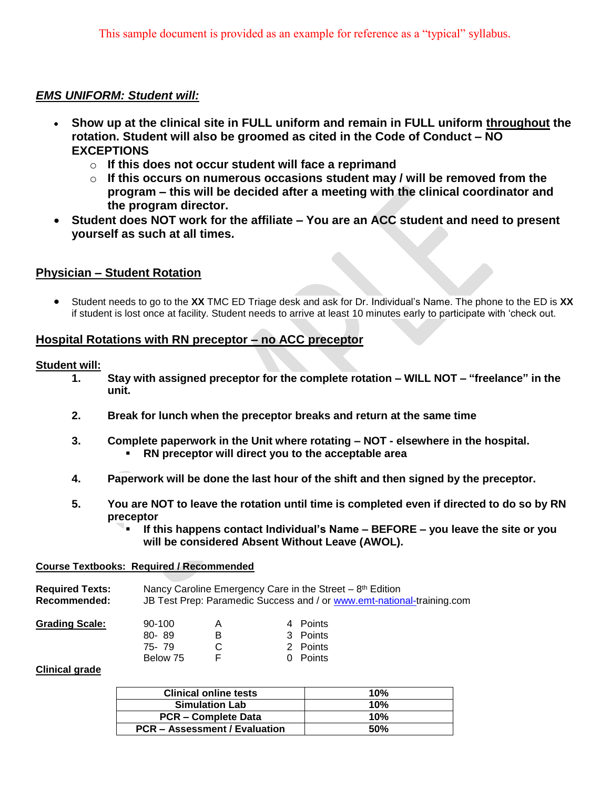## *EMS UNIFORM: Student will:*

- **Show up at the clinical site in FULL uniform and remain in FULL uniform throughout the rotation. Student will also be groomed as cited in the Code of Conduct – NO EXCEPTIONS**
	- o **If this does not occur student will face a reprimand**
	- o **If this occurs on numerous occasions student may / will be removed from the program – this will be decided after a meeting with the clinical coordinator and the program director.**
- **Student does NOT work for the affiliate – You are an ACC student and need to present yourself as such at all times.**

## **Physician – Student Rotation**

 Student needs to go to the **XX** TMC ED Triage desk and ask for Dr. Individual's Name. The phone to the ED is **XX** if student is lost once at facility. Student needs to arrive at least 10 minutes early to participate with 'check out.

## **Hospital Rotations with RN preceptor – no ACC preceptor**

## **Student will:**

- **1. Stay with assigned preceptor for the complete rotation – WILL NOT – "freelance" in the unit.**
- **2. Break for lunch when the preceptor breaks and return at the same time**
- **3. Complete paperwork in the Unit where rotating – NOT - elsewhere in the hospital. RN preceptor will direct you to the acceptable area**
- **4. Paperwork will be done the last hour of the shift and then signed by the preceptor.**
- **5. You are NOT to leave the rotation until time is completed even if directed to do so by RN preceptor**
	- **If this happens contact Individual's Name – BEFORE – you leave the site or you will be considered Absent Without Leave (AWOL).**

## **Course Textbooks: Required / Recommended**

| <b>Required Texts:</b> | Nancy Caroline Emergency Care in the Street $-8$ <sup>th</sup> Edition |
|------------------------|------------------------------------------------------------------------|
| Recommended:           | JB Test Prep: Paramedic Success and / or www.emt-national-training.com |

| <b>Grading Scale:</b> | $90-100$ | Α | 4 Points |
|-----------------------|----------|---|----------|
|                       | 80-89    | в | 3 Points |
|                       | 75-79    | С | 2 Points |
|                       | Below 75 |   | 0 Points |

## **Clinical grade**

| <b>Clinical online tests</b>         | 10% |
|--------------------------------------|-----|
| <b>Simulation Lab</b>                | 10% |
| <b>PCR – Complete Data</b>           | 10% |
| <b>PCR - Assessment / Evaluation</b> | 50% |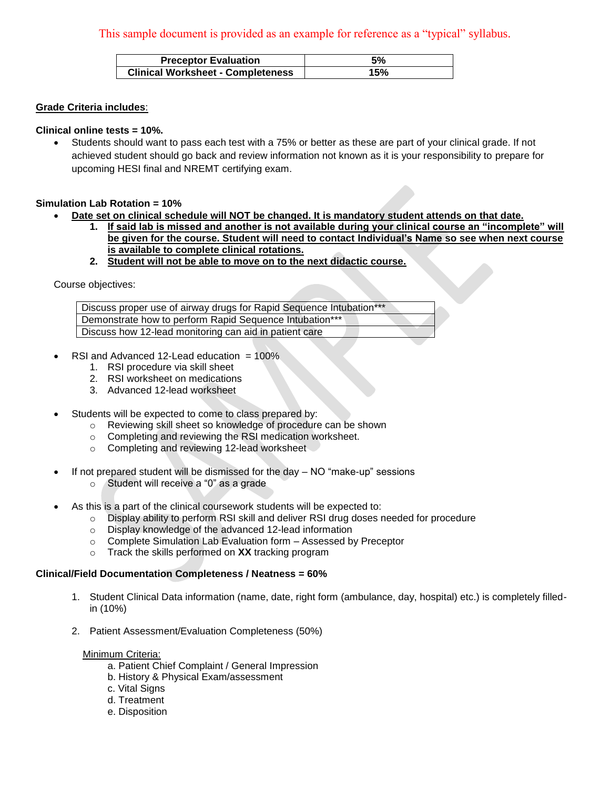| <b>Preceptor Evaluation</b>              | 5%  |
|------------------------------------------|-----|
| <b>Clinical Worksheet - Completeness</b> | 15% |

#### **Grade Criteria includes**:

#### **Clinical online tests = 10%.**

 Students should want to pass each test with a 75% or better as these are part of your clinical grade. If not achieved student should go back and review information not known as it is your responsibility to prepare for upcoming HESI final and NREMT certifying exam.

#### **Simulation Lab Rotation = 10%**

- **Date set on clinical schedule will NOT be changed. It is mandatory student attends on that date.**
	- **1. If said lab is missed and another is not available during your clinical course an "incomplete" will be given for the course. Student will need to contact Individual's Name so see when next course is available to complete clinical rotations.**
	- **2. Student will not be able to move on to the next didactic course.**

Course objectives:

Discuss proper use of airway drugs for Rapid Sequence Intubation\*\*\* Demonstrate how to perform Rapid Sequence Intubation\*\*\* Discuss how 12-lead monitoring can aid in patient care

- RSI and Advanced 12-Lead education  $= 100\%$ 
	- 1. RSI procedure via skill sheet
	- 2. RSI worksheet on medications
	- 3. Advanced 12-lead worksheet
- Students will be expected to come to class prepared by:
	- o Reviewing skill sheet so knowledge of procedure can be shown
	- o Completing and reviewing the RSI medication worksheet.
	- o Completing and reviewing 12-lead worksheet
- If not prepared student will be dismissed for the day NO "make-up" sessions
	- o Student will receive a "0" as a grade
- As this is a part of the clinical coursework students will be expected to:
	- o Display ability to perform RSI skill and deliver RSI drug doses needed for procedure
	- o Display knowledge of the advanced 12-lead information
	- o Complete Simulation Lab Evaluation form Assessed by Preceptor
	- o Track the skills performed on **XX** tracking program

## **Clinical/Field Documentation Completeness / Neatness = 60%**

- 1. Student Clinical Data information (name, date, right form (ambulance, day, hospital) etc.) is completely filledin (10%)
- 2. Patient Assessment/Evaluation Completeness (50%)

## Minimum Criteria:

- a. Patient Chief Complaint / General Impression
- b. History & Physical Exam/assessment
- c. Vital Signs
- d. Treatment
- e. Disposition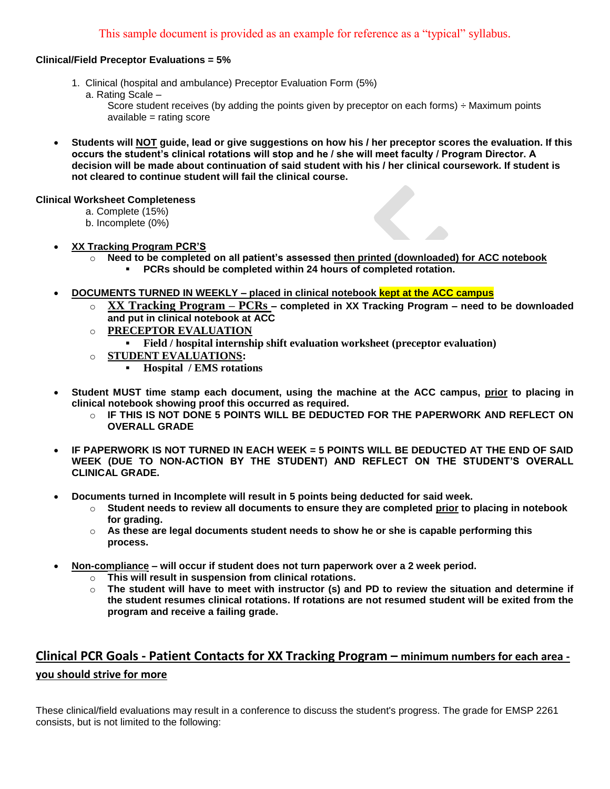## **Clinical/Field Preceptor Evaluations = 5%**

- 1. Clinical (hospital and ambulance) Preceptor Evaluation Form (5%)
	- a. Rating Scale –

Score student receives (by adding the points given by preceptor on each forms) ÷ Maximum points available = rating score

 **Students will NOT guide, lead or give suggestions on how his / her preceptor scores the evaluation. If this occurs the student's clinical rotations will stop and he / she will meet faculty / Program Director. A decision will be made about continuation of said student with his / her clinical coursework. If student is not cleared to continue student will fail the clinical course.**

## **Clinical Worksheet Completeness**

- a. Complete (15%)
- b. Incomplete (0%)
- **XX Tracking Program PCR'S** 
	- o **Need to be completed on all patient's assessed then printed (downloaded) for ACC notebook PCRs should be completed within 24 hours of completed rotation.**
- **DOCUMENTS TURNED IN WEEKLY – placed in clinical notebook kept at the ACC campus**
	- o **XX Tracking Program – PCRs – completed in XX Tracking Program – need to be downloaded and put in clinical notebook at ACC**
	- o **PRECEPTOR EVALUATION** 
		- **Field / hospital internship shift evaluation worksheet (preceptor evaluation)**
	- o **STUDENT EVALUATIONS:**
		- **Hospital / EMS rotations**
- **Student MUST time stamp each document, using the machine at the ACC campus, prior to placing in clinical notebook showing proof this occurred as required.** 
	- $\circ$  **IF THIS IS NOT DONE 5 POINTS WILL BE DEDUCTED FOR THE PAPERWORK AND REFLECT ON OVERALL GRADE**
- **IF PAPERWORK IS NOT TURNED IN EACH WEEK = 5 POINTS WILL BE DEDUCTED AT THE END OF SAID WEEK (DUE TO NON-ACTION BY THE STUDENT) AND REFLECT ON THE STUDENT'S OVERALL CLINICAL GRADE.**
- **Documents turned in Incomplete will result in 5 points being deducted for said week.**
	- o **Student needs to review all documents to ensure they are completed prior to placing in notebook for grading.**
	- o **As these are legal documents student needs to show he or she is capable performing this process.**
- **Non-compliance – will occur if student does not turn paperwork over a 2 week period.**
	- o **This will result in suspension from clinical rotations.**
	- o **The student will have to meet with instructor (s) and PD to review the situation and determine if the student resumes clinical rotations. If rotations are not resumed student will be exited from the program and receive a failing grade.**

# **Clinical PCR Goals - Patient Contacts for XX Tracking Program – minimum numbers for each area you should strive for more**

These clinical/field evaluations may result in a conference to discuss the student's progress. The grade for EMSP 2261 consists, but is not limited to the following: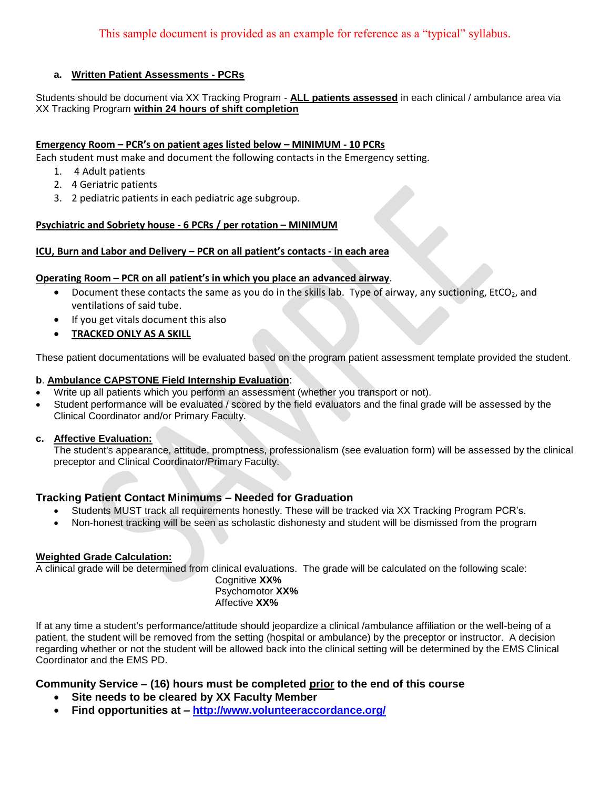## **a. Written Patient Assessments - PCRs**

Students should be document via XX Tracking Program - **ALL patients assessed** in each clinical / ambulance area via XX Tracking Program **within 24 hours of shift completion**

## **Emergency Room – PCR's on patient ages listed below – MINIMUM - 10 PCRs**

Each student must make and document the following contacts in the Emergency setting.

- 1. 4 Adult patients
- 2. 4 Geriatric patients
- 3. 2 pediatric patients in each pediatric age subgroup.

## **Psychiatric and Sobriety house - 6 PCRs / per rotation – MINIMUM**

#### **ICU, Burn and Labor and Delivery – PCR on all patient's contacts - in each area**

#### **Operating Room – PCR on all patient's in which you place an advanced airway**.

- $\bullet$  Document these contacts the same as you do in the skills lab. Type of airway, any suctioning, EtCO<sub>2</sub>, and ventilations of said tube.
- $\bullet$  If you get vitals document this also
- **TRACKED ONLY AS A SKILL**

These patient documentations will be evaluated based on the program patient assessment template provided the student.

#### **b**. **Ambulance CAPSTONE Field Internship Evaluation**:

- Write up all patients which you perform an assessment (whether you transport or not).
- Student performance will be evaluated / scored by the field evaluators and the final grade will be assessed by the Clinical Coordinator and/or Primary Faculty.

#### **c. Affective Evaluation:**

The student's appearance, attitude, promptness, professionalism (see evaluation form) will be assessed by the clinical preceptor and Clinical Coordinator/Primary Faculty.

## **Tracking Patient Contact Minimums – Needed for Graduation**

- Students MUST track all requirements honestly. These will be tracked via XX Tracking Program PCR's.
- Non-honest tracking will be seen as scholastic dishonesty and student will be dismissed from the program

## **Weighted Grade Calculation:**

A clinical grade will be determined from clinical evaluations. The grade will be calculated on the following scale:

Cognitive **XX%** Psychomotor **XX%** Affective **XX%**

If at any time a student's performance/attitude should jeopardize a clinical /ambulance affiliation or the well-being of a patient, the student will be removed from the setting (hospital or ambulance) by the preceptor or instructor. A decision regarding whether or not the student will be allowed back into the clinical setting will be determined by the EMS Clinical Coordinator and the EMS PD.

## **Community Service – (16) hours must be completed prior to the end of this course**

- **Site needs to be cleared by XX Faculty Member**
- **Find opportunities at – [http://www.volunteeraccordance.org/](http://www.coaemsp.org/)**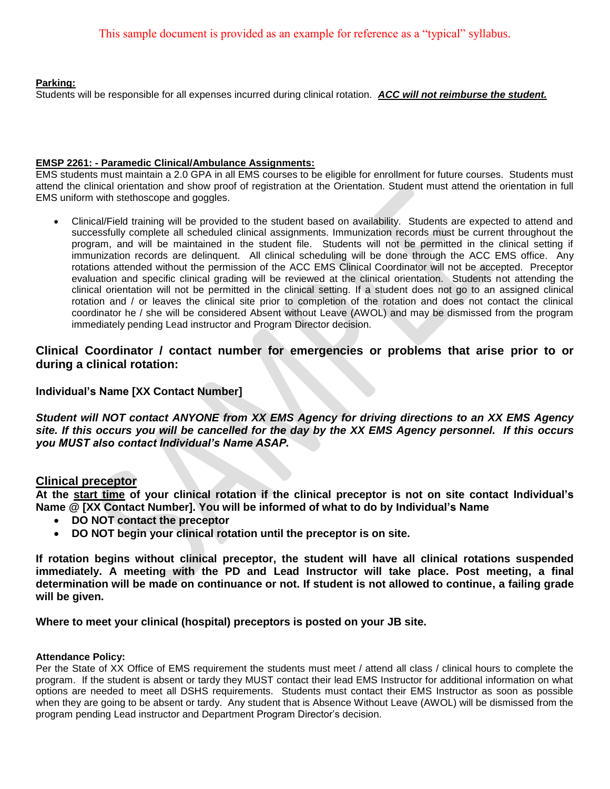#### **Parking:**

Students will be responsible for all expenses incurred during clinical rotation. *ACC will not reimburse the student.*

#### **EMSP 2261: - Paramedic Clinical/Ambulance Assignments:**

EMS students must maintain a 2.0 GPA in all EMS courses to be eligible for enrollment for future courses. Students must attend the clinical orientation and show proof of registration at the Orientation. Student must attend the orientation in full EMS uniform with stethoscope and goggles.

 Clinical/Field training will be provided to the student based on availability. Students are expected to attend and successfully complete all scheduled clinical assignments. Immunization records must be current throughout the program, and will be maintained in the student file. Students will not be permitted in the clinical setting if immunization records are delinquent. All clinical scheduling will be done through the ACC EMS office. Any rotations attended without the permission of the ACC EMS Clinical Coordinator will not be accepted. Preceptor evaluation and specific clinical grading will be reviewed at the clinical orientation. Students not attending the clinical orientation will not be permitted in the clinical setting. If a student does not go to an assigned clinical rotation and / or leaves the clinical site prior to completion of the rotation and does not contact the clinical coordinator he / she will be considered Absent without Leave (AWOL) and may be dismissed from the program immediately pending Lead instructor and Program Director decision.

## **Clinical Coordinator / contact number for emergencies or problems that arise prior to or during a clinical rotation:**

## **Individual's Name [XX Contact Number]**

*Student will NOT contact ANYONE from XX EMS Agency for driving directions to an XX EMS Agency site. If this occurs you will be cancelled for the day by the XX EMS Agency personnel. If this occurs you MUST also contact Individual's Name ASAP.*

## **Clinical preceptor**

**At the start time of your clinical rotation if the clinical preceptor is not on site contact Individual's Name @ [XX Contact Number]. You will be informed of what to do by Individual's Name**

- **DO NOT contact the preceptor**
- **DO NOT begin your clinical rotation until the preceptor is on site.**

**If rotation begins without clinical preceptor, the student will have all clinical rotations suspended immediately. A meeting with the PD and Lead Instructor will take place. Post meeting, a final determination will be made on continuance or not. If student is not allowed to continue, a failing grade will be given.**

**Where to meet your clinical (hospital) preceptors is posted on your JB site.**

#### **Attendance Policy:**

Per the State of XX Office of EMS requirement the students must meet / attend all class / clinical hours to complete the program. If the student is absent or tardy they MUST contact their lead EMS Instructor for additional information on what options are needed to meet all DSHS requirements. Students must contact their EMS Instructor as soon as possible when they are going to be absent or tardy. Any student that is Absence Without Leave (AWOL) will be dismissed from the program pending Lead instructor and Department Program Director's decision.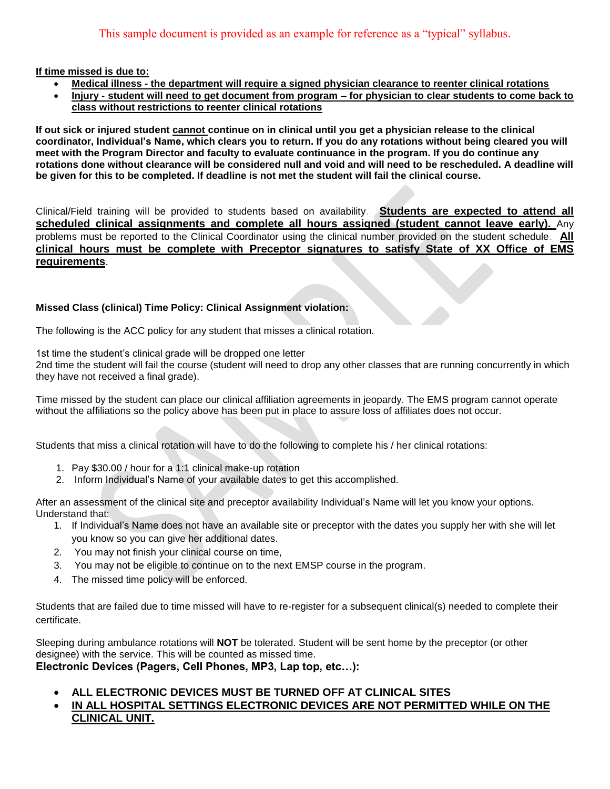**If time missed is due to:**

- **Medical illness - the department will require a signed physician clearance to reenter clinical rotations**
- **Injury - student will need to get document from program – for physician to clear students to come back to class without restrictions to reenter clinical rotations**

**If out sick or injured student cannot continue on in clinical until you get a physician release to the clinical coordinator, Individual's Name, which clears you to return. If you do any rotations without being cleared you will meet with the Program Director and faculty to evaluate continuance in the program. If you do continue any rotations done without clearance will be considered null and void and will need to be rescheduled. A deadline will be given for this to be completed. If deadline is not met the student will fail the clinical course.** 

Clinical/Field training will be provided to students based on availability. **Students are expected to attend all scheduled clinical assignments and complete all hours assigned (student cannot leave early).** Any problems must be reported to the Clinical Coordinator using the clinical number provided on the student schedule. **All clinical hours must be complete with Preceptor signatures to satisfy State of XX Office of EMS requirements**.

## **Missed Class (clinical) Time Policy: Clinical Assignment violation:**

The following is the ACC policy for any student that misses a clinical rotation.

1st time the student's clinical grade will be dropped one letter

2nd time the student will fail the course (student will need to drop any other classes that are running concurrently in which they have not received a final grade).

Time missed by the student can place our clinical affiliation agreements in jeopardy. The EMS program cannot operate without the affiliations so the policy above has been put in place to assure loss of affiliates does not occur.

Students that miss a clinical rotation will have to do the following to complete his / her clinical rotations:

- 1. Pay \$30.00 / hour for a 1:1 clinical make-up rotation
- 2. Inform Individual's Name of your available dates to get this accomplished.

After an assessment of the clinical site and preceptor availability Individual's Name will let you know your options. Understand that:

- 1. If Individual's Name does not have an available site or preceptor with the dates you supply her with she will let you know so you can give her additional dates.
- 2. You may not finish your clinical course on time,
- 3. You may not be eligible to continue on to the next EMSP course in the program.
- 4. The missed time policy will be enforced.

Students that are failed due to time missed will have to re-register for a subsequent clinical(s) needed to complete their certificate.

Sleeping during ambulance rotations will **NOT** be tolerated. Student will be sent home by the preceptor (or other designee) with the service. This will be counted as missed time. **Electronic Devices (Pagers, Cell Phones, MP3, Lap top, etc…):**

- **ALL ELECTRONIC DEVICES MUST BE TURNED OFF AT CLINICAL SITES**
- **IN ALL HOSPITAL SETTINGS ELECTRONIC DEVICES ARE NOT PERMITTED WHILE ON THE CLINICAL UNIT.**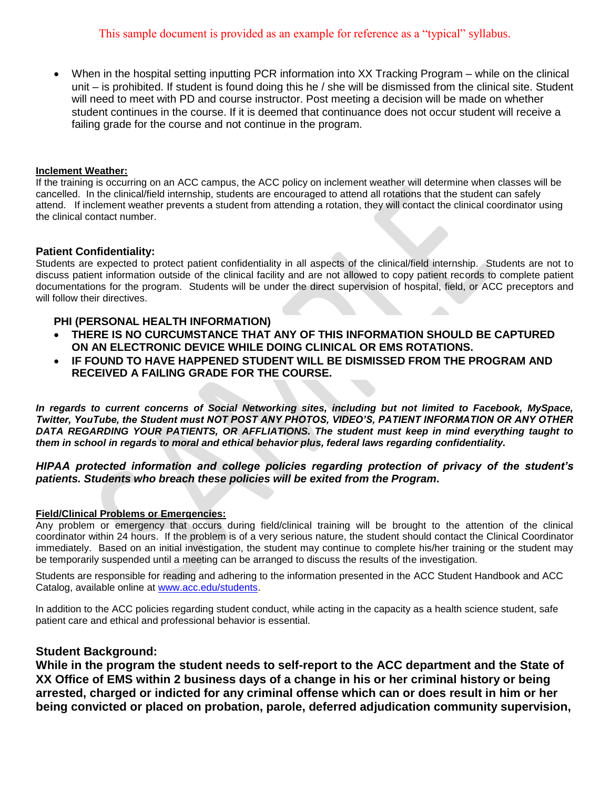When in the hospital setting inputting PCR information into XX Tracking Program – while on the clinical unit – is prohibited. If student is found doing this he / she will be dismissed from the clinical site. Student will need to meet with PD and course instructor. Post meeting a decision will be made on whether student continues in the course. If it is deemed that continuance does not occur student will receive a failing grade for the course and not continue in the program.

#### **Inclement Weather:**

If the training is occurring on an ACC campus, the ACC policy on inclement weather will determine when classes will be cancelled. In the clinical/field internship, students are encouraged to attend all rotations that the student can safely attend. If inclement weather prevents a student from attending a rotation, they will contact the clinical coordinator using the clinical contact number.

#### **Patient Confidentiality:**

Students are expected to protect patient confidentiality in all aspects of the clinical/field internship. Students are not to discuss patient information outside of the clinical facility and are not allowed to copy patient records to complete patient documentations for the program. Students will be under the direct supervision of hospital, field, or ACC preceptors and will follow their directives.

#### **PHI (PERSONAL HEALTH INFORMATION)**

- **THERE IS NO CURCUMSTANCE THAT ANY OF THIS INFORMATION SHOULD BE CAPTURED ON AN ELECTRONIC DEVICE WHILE DOING CLINICAL OR EMS ROTATIONS.**
- **IF FOUND TO HAVE HAPPENED STUDENT WILL BE DISMISSED FROM THE PROGRAM AND RECEIVED A FAILING GRADE FOR THE COURSE.**

*In regards to current concerns of Social Networking sites, including but not limited to Facebook, MySpace, Twitter, YouTube, the Student must NOT POST ANY PHOTOS, VIDEO'S, PATIENT INFORMATION OR ANY OTHER DATA REGARDING YOUR PATIENTS, OR AFFLIATIONS. The student must keep in mind everything taught to them in school in regards to moral and ethical behavior plus, federal laws regarding confidentiality.*

## *HIPAA protected information and college policies regarding protection of privacy of the student's patients. Students who breach these policies will be exited from the Program***.**

#### **Field/Clinical Problems or Emergencies:**

Any problem or emergency that occurs during field/clinical training will be brought to the attention of the clinical coordinator within 24 hours. If the problem is of a very serious nature, the student should contact the Clinical Coordinator immediately. Based on an initial investigation, the student may continue to complete his/her training or the student may be temporarily suspended until a meeting can be arranged to discuss the results of the investigation.

Students are responsible for reading and adhering to the information presented in the ACC Student Handbook and ACC Catalog, available online at [www.acc.edu/students.](http://www.coaemsp.org/)

In addition to the ACC policies regarding student conduct, while acting in the capacity as a health science student, safe patient care and ethical and professional behavior is essential.

#### **Student Background:**

**While in the program the student needs to self-report to the ACC department and the State of XX Office of EMS within 2 business days of a change in his or her criminal history or being arrested, charged or indicted for any criminal offense which can or does result in him or her being convicted or placed on probation, parole, deferred adjudication community supervision,**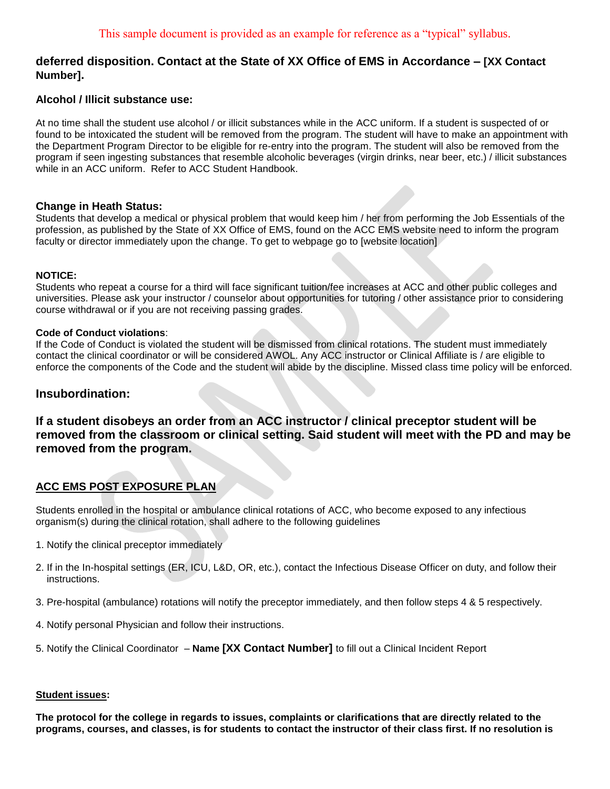## **deferred disposition. Contact at the State of XX Office of EMS in Accordance – [XX Contact Number].**

## **Alcohol / Illicit substance use:**

At no time shall the student use alcohol / or illicit substances while in the ACC uniform. If a student is suspected of or found to be intoxicated the student will be removed from the program. The student will have to make an appointment with the Department Program Director to be eligible for re-entry into the program. The student will also be removed from the program if seen ingesting substances that resemble alcoholic beverages (virgin drinks, near beer, etc.) / illicit substances while in an ACC uniform. Refer to ACC Student Handbook.

## **Change in Heath Status:**

Students that develop a medical or physical problem that would keep him / her from performing the Job Essentials of the profession, as published by the State of XX Office of EMS, found on the ACC EMS website need to inform the program faculty or director immediately upon the change. To get to webpage go to [website location]

#### **NOTICE:**

Students who repeat a course for a third will face significant tuition/fee increases at ACC and other public colleges and universities. Please ask your instructor / counselor about opportunities for tutoring / other assistance prior to considering course withdrawal or if you are not receiving passing grades.

#### **Code of Conduct violations**:

If the Code of Conduct is violated the student will be dismissed from clinical rotations. The student must immediately contact the clinical coordinator or will be considered AWOL. Any ACC instructor or Clinical Affiliate is / are eligible to enforce the components of the Code and the student will abide by the discipline. Missed class time policy will be enforced.

## **Insubordination:**

## **If a student disobeys an order from an ACC instructor / clinical preceptor student will be removed from the classroom or clinical setting. Said student will meet with the PD and may be removed from the program.**

## **ACC EMS POST EXPOSURE PLAN**

Students enrolled in the hospital or ambulance clinical rotations of ACC, who become exposed to any infectious organism(s) during the clinical rotation, shall adhere to the following guidelines

- 1. Notify the clinical preceptor immediately
- 2. If in the In-hospital settings (ER, ICU, L&D, OR, etc.), contact the Infectious Disease Officer on duty, and follow their instructions.
- 3. Pre-hospital (ambulance) rotations will notify the preceptor immediately, and then follow steps 4 & 5 respectively.
- 4. Notify personal Physician and follow their instructions.
- 5. Notify the Clinical Coordinator **Name [XX Contact Number]** to fill out a Clinical Incident Report

#### **Student issues:**

**The protocol for the college in regards to issues, complaints or clarifications that are directly related to the programs, courses, and classes, is for students to contact the instructor of their class first. If no resolution is**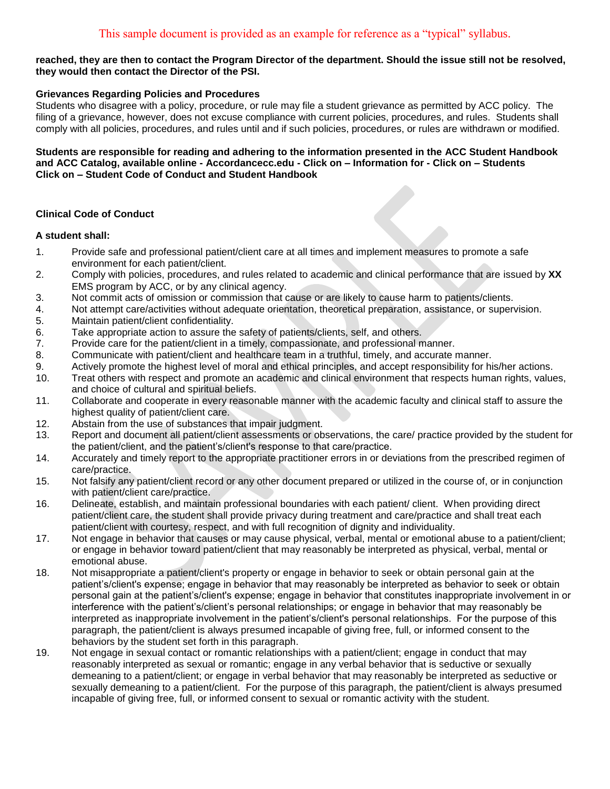#### **reached, they are then to contact the Program Director of the department. Should the issue still not be resolved, they would then contact the Director of the PSI.**

#### **Grievances Regarding Policies and Procedures**

Students who disagree with a policy, procedure, or rule may file a student grievance as permitted by ACC policy. The filing of a grievance, however, does not excuse compliance with current policies, procedures, and rules. Students shall comply with all policies, procedures, and rules until and if such policies, procedures, or rules are withdrawn or modified.

**Students are responsible for reading and adhering to the information presented in the ACC Student Handbook and ACC Catalog, available online - Accordancecc.edu - Click on – Information for - Click on – Students Click on – Student Code of Conduct and Student Handbook**

## **Clinical Code of Conduct**

#### **A student shall:**

- 1. Provide safe and professional patient/client care at all times and implement measures to promote a safe environment for each patient/client.
- 2. Comply with policies, procedures, and rules related to academic and clinical performance that are issued by **XX** EMS program by ACC, or by any clinical agency.
- 3. Not commit acts of omission or commission that cause or are likely to cause harm to patients/clients.
- 4. Not attempt care/activities without adequate orientation, theoretical preparation, assistance, or supervision.
- 5. Maintain patient/client confidentiality.
- 6. Take appropriate action to assure the safety of patients/clients, self, and others.
- 7. Provide care for the patient/client in a timely, compassionate, and professional manner.
- 8. Communicate with patient/client and healthcare team in a truthful, timely, and accurate manner.
- 9. Actively promote the highest level of moral and ethical principles, and accept responsibility for his/her actions.
- 10. Treat others with respect and promote an academic and clinical environment that respects human rights, values, and choice of cultural and spiritual beliefs.
- 11. Collaborate and cooperate in every reasonable manner with the academic faculty and clinical staff to assure the highest quality of patient/client care.
- 12. Abstain from the use of substances that impair judgment.
- 13. Report and document all patient/client assessments or observations, the care/ practice provided by the student for the patient/client, and the patient's/client's response to that care/practice.
- 14. Accurately and timely report to the appropriate practitioner errors in or deviations from the prescribed regimen of care/practice.
- 15. Not falsify any patient/client record or any other document prepared or utilized in the course of, or in conjunction with patient/client care/practice.
- 16. Delineate, establish, and maintain professional boundaries with each patient/ client. When providing direct patient/client care, the student shall provide privacy during treatment and care/practice and shall treat each patient/client with courtesy, respect, and with full recognition of dignity and individuality.
- 17. Not engage in behavior that causes or may cause physical, verbal, mental or emotional abuse to a patient/client; or engage in behavior toward patient/client that may reasonably be interpreted as physical, verbal, mental or emotional abuse.
- 18. Not misappropriate a patient/client's property or engage in behavior to seek or obtain personal gain at the patient's/client's expense; engage in behavior that may reasonably be interpreted as behavior to seek or obtain personal gain at the patient's/client's expense; engage in behavior that constitutes inappropriate involvement in or interference with the patient's/client's personal relationships; or engage in behavior that may reasonably be interpreted as inappropriate involvement in the patient's/client's personal relationships. For the purpose of this paragraph, the patient/client is always presumed incapable of giving free, full, or informed consent to the behaviors by the student set forth in this paragraph.
- 19. Not engage in sexual contact or romantic relationships with a patient/client; engage in conduct that may reasonably interpreted as sexual or romantic; engage in any verbal behavior that is seductive or sexually demeaning to a patient/client; or engage in verbal behavior that may reasonably be interpreted as seductive or sexually demeaning to a patient/client. For the purpose of this paragraph, the patient/client is always presumed incapable of giving free, full, or informed consent to sexual or romantic activity with the student.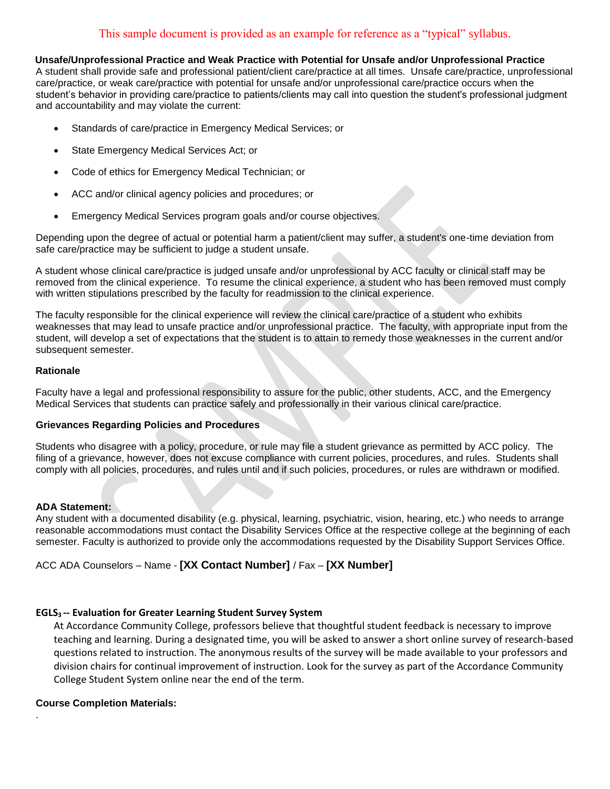## This sample document is provided as an example for reference as a "typical" syllabus.

#### **Unsafe/Unprofessional Practice and Weak Practice with Potential for Unsafe and/or Unprofessional Practice**

A student shall provide safe and professional patient/client care/practice at all times. Unsafe care/practice, unprofessional care/practice, or weak care/practice with potential for unsafe and/or unprofessional care/practice occurs when the student's behavior in providing care/practice to patients/clients may call into question the student's professional judgment and accountability and may violate the current:

- Standards of care/practice in Emergency Medical Services; or
- State Emergency Medical Services Act; or
- Code of ethics for Emergency Medical Technician; or
- ACC and/or clinical agency policies and procedures; or
- Emergency Medical Services program goals and/or course objectives.

Depending upon the degree of actual or potential harm a patient/client may suffer, a student's one-time deviation from safe care/practice may be sufficient to judge a student unsafe.

A student whose clinical care/practice is judged unsafe and/or unprofessional by ACC faculty or clinical staff may be removed from the clinical experience. To resume the clinical experience, a student who has been removed must comply with written stipulations prescribed by the faculty for readmission to the clinical experience.

The faculty responsible for the clinical experience will review the clinical care/practice of a student who exhibits weaknesses that may lead to unsafe practice and/or unprofessional practice. The faculty, with appropriate input from the student, will develop a set of expectations that the student is to attain to remedy those weaknesses in the current and/or subsequent semester.

#### **Rationale**

Faculty have a legal and professional responsibility to assure for the public, other students, ACC, and the Emergency Medical Services that students can practice safely and professionally in their various clinical care/practice.

#### **Grievances Regarding Policies and Procedures**

Students who disagree with a policy, procedure, or rule may file a student grievance as permitted by ACC policy. The filing of a grievance, however, does not excuse compliance with current policies, procedures, and rules. Students shall comply with all policies, procedures, and rules until and if such policies, procedures, or rules are withdrawn or modified.

#### **ADA Statement:**

Any student with a documented disability (e.g. physical, learning, psychiatric, vision, hearing, etc.) who needs to arrange reasonable accommodations must contact the Disability Services Office at the respective college at the beginning of each semester. Faculty is authorized to provide only the accommodations requested by the Disability Support Services Office.

## ACC ADA Counselors – Name - **[XX Contact Number]** / Fax – **[XX Number]**

#### **EGLS3 -- Evaluation for Greater Learning Student Survey System**

At Accordance Community College, professors believe that thoughtful student feedback is necessary to improve teaching and learning. During a designated time, you will be asked to answer a short online survey of research-based questions related to instruction. The anonymous results of the survey will be made available to your professors and division chairs for continual improvement of instruction. Look for the survey as part of the Accordance Community College Student System online near the end of the term.

#### **Course Completion Materials:**

.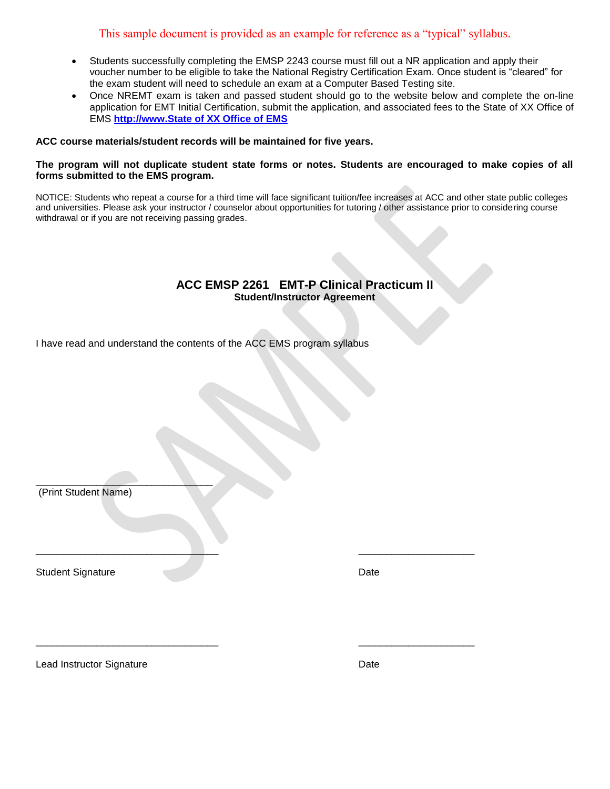## This sample document is provided as an example for reference as a "typical" syllabus.

- Students successfully completing the EMSP 2243 course must fill out a NR application and apply their voucher number to be eligible to take the National Registry Certification Exam. Once student is "cleared" for the exam student will need to schedule an exam at a Computer Based Testing site.
- Once NREMT exam is taken and passed student should go to the website below and complete the on-line application for EMT Initial Certification, submit the application, and associated fees to the State of XX Office of EMS **[http://www.State of XX Office of EMS](http://www.coaemsp.org/)**

#### **ACC course materials/student records will be maintained for five years.**

#### **The program will not duplicate student state forms or notes. Students are encouraged to make copies of all forms submitted to the EMS program.**

NOTICE: Students who repeat a course for a third time will face significant tuition/fee increases at ACC and other state public colleges and universities. Please ask your instructor / counselor about opportunities for tutoring / other assistance prior to considering course withdrawal or if you are not receiving passing grades.

## **ACC EMSP 2261 EMT-P Clinical Practicum II Student/Instructor Agreement**

I have read and understand the contents of the ACC EMS program syllabus

\_\_\_\_\_\_\_\_\_\_\_\_\_\_\_\_\_\_\_\_\_\_\_\_\_\_\_\_\_\_\_\_\_ \_\_\_\_\_\_\_\_\_\_\_\_\_\_\_\_\_\_\_\_\_

\_\_\_\_\_\_\_\_\_\_\_\_\_\_\_\_\_\_\_\_\_\_\_\_\_\_\_\_\_\_\_\_\_ \_\_\_\_\_\_\_\_\_\_\_\_\_\_\_\_\_\_\_\_\_

 $\overline{\phantom{a}}$  , where  $\overline{\phantom{a}}$  , where  $\overline{\phantom{a}}$  , where  $\overline{\phantom{a}}$  , where  $\overline{\phantom{a}}$ (Print Student Name)

Student Signature Date Date New York 2014 19:30 No. 2014

Lead Instructor Signature **Date** Date **Date**